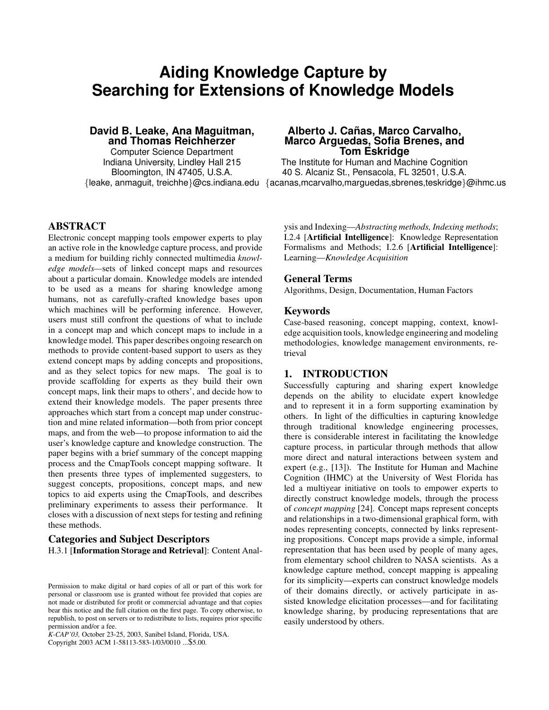# **Aiding Knowledge Capture by Searching for Extensions of Knowledge Models**

**David B. Leake, Ana Maguitman, and Thomas Reichherzer**

Computer Science Department Indiana University, Lindley Hall 215 Bloomington, IN 47405, U.S.A.

# **Alberto J. Canas, ˜ Marco Carvalho, Marco Arguedas, Sofia Brenes, and Tom Eskridge**

{leake, anmaguit, treichhe}@cs.indiana.edu {acanas,mcarvalho,marguedas,sbrenes,teskridge}@ihmc.us The Institute for Human and Machine Cognition 40 S. Alcaniz St., Pensacola, FL 32501, U.S.A.

# **ABSTRACT**

Electronic concept mapping tools empower experts to play an active role in the knowledge capture process, and provide a medium for building richly connected multimedia *knowledge models—*sets of linked concept maps and resources about a particular domain. Knowledge models are intended to be used as a means for sharing knowledge among humans, not as carefully-crafted knowledge bases upon which machines will be performing inference. However, users must still confront the questions of what to include in a concept map and which concept maps to include in a knowledge model. This paper describes ongoing research on methods to provide content-based support to users as they extend concept maps by adding concepts and propositions, and as they select topics for new maps. The goal is to provide scaffolding for experts as they build their own concept maps, link their maps to others', and decide how to extend their knowledge models. The paper presents three approaches which start from a concept map under construction and mine related information—both from prior concept maps, and from the web—to propose information to aid the user's knowledge capture and knowledge construction. The paper begins with a brief summary of the concept mapping process and the CmapTools concept mapping software. It then presents three types of implemented suggesters, to suggest concepts, propositions, concept maps, and new topics to aid experts using the CmapTools, and describes preliminary experiments to assess their performance. It closes with a discussion of next steps for testing and refining these methods.

# **Categories and Subject Descriptors**

H.3.1 [**Information Storage and Retrieval**]: Content Anal-

*K-CAP'03,* October 23-25, 2003, Sanibel Island, Florida, USA.

Copyright 2003 ACM 1-58113-583-1/03/0010 ...\$5.00.

ysis and Indexing—*Abstracting methods, Indexing methods*; I.2.4 [**Artificial Intelligence**]: Knowledge Representation Formalisms and Methods; I.2.6 [**Artificial Intelligence**]: Learning—*Knowledge Acquisition*

## **General Terms**

Algorithms, Design, Documentation, Human Factors

## **Keywords**

Case-based reasoning, concept mapping, context, knowledge acquisition tools, knowledge engineering and modeling methodologies, knowledge management environments, retrieval

# **1. INTRODUCTION**

Successfully capturing and sharing expert knowledge depends on the ability to elucidate expert knowledge and to represent it in a form supporting examination by others. In light of the difficulties in capturing knowledge through traditional knowledge engineering processes, there is considerable interest in facilitating the knowledge capture process, in particular through methods that allow more direct and natural interactions between system and expert (e.g., [13]). The Institute for Human and Machine Cognition (IHMC) at the University of West Florida has led a multiyear initiative on tools to empower experts to directly construct knowledge models, through the process of *concept mapping* [24]. Concept maps represent concepts and relationships in a two-dimensional graphical form, with nodes representing concepts, connected by links representing propositions. Concept maps provide a simple, informal representation that has been used by people of many ages, from elementary school children to NASA scientists. As a knowledge capture method, concept mapping is appealing for its simplicity—experts can construct knowledge models of their domains directly, or actively participate in assisted knowledge elicitation processes—and for facilitating knowledge sharing, by producing representations that are easily understood by others.

Permission to make digital or hard copies of all or part of this work for personal or classroom use is granted without fee provided that copies are not made or distributed for profit or commercial advantage and that copies bear this notice and the full citation on the first page. To copy otherwise, to republish, to post on servers or to redistribute to lists, requires prior specific permission and/or a fee.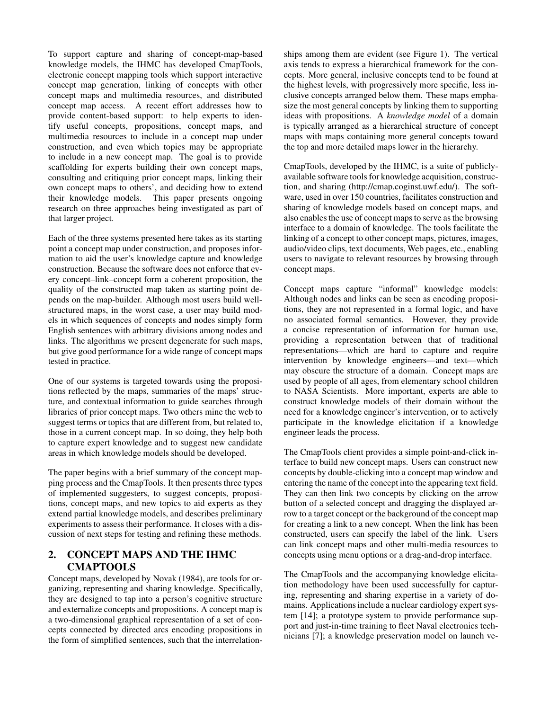To support capture and sharing of concept-map-based knowledge models, the IHMC has developed CmapTools, electronic concept mapping tools which support interactive concept map generation, linking of concepts with other concept maps and multimedia resources, and distributed concept map access. A recent effort addresses how to provide content-based support: to help experts to identify useful concepts, propositions, concept maps, and multimedia resources to include in a concept map under construction, and even which topics may be appropriate to include in a new concept map. The goal is to provide scaffolding for experts building their own concept maps, consulting and critiquing prior concept maps, linking their own concept maps to others', and deciding how to extend their knowledge models. This paper presents ongoing research on three approaches being investigated as part of that larger project.

Each of the three systems presented here takes as its starting point a concept map under construction, and proposes information to aid the user's knowledge capture and knowledge construction. Because the software does not enforce that every concept–link–concept form a coherent proposition, the quality of the constructed map taken as starting point depends on the map-builder. Although most users build wellstructured maps, in the worst case, a user may build models in which sequences of concepts and nodes simply form English sentences with arbitrary divisions among nodes and links. The algorithms we present degenerate for such maps, but give good performance for a wide range of concept maps tested in practice.

One of our systems is targeted towards using the propositions reflected by the maps, summaries of the maps' structure, and contextual information to guide searches through libraries of prior concept maps. Two others mine the web to suggest terms or topics that are different from, but related to, those in a current concept map. In so doing, they help both to capture expert knowledge and to suggest new candidate areas in which knowledge models should be developed.

The paper begins with a brief summary of the concept mapping process and the CmapTools. It then presents three types of implemented suggesters, to suggest concepts, propositions, concept maps, and new topics to aid experts as they extend partial knowledge models, and describes preliminary experiments to assess their performance. It closes with a discussion of next steps for testing and refining these methods.

# **2. CONCEPT MAPS AND THE IHMC CMAPTOOLS**

Concept maps, developed by Novak (1984), are tools for organizing, representing and sharing knowledge. Specifically, they are designed to tap into a person's cognitive structure and externalize concepts and propositions. A concept map is a two-dimensional graphical representation of a set of concepts connected by directed arcs encoding propositions in the form of simplified sentences, such that the interrelationships among them are evident (see Figure 1). The vertical axis tends to express a hierarchical framework for the concepts. More general, inclusive concepts tend to be found at the highest levels, with progressively more specific, less inclusive concepts arranged below them. These maps emphasize the most general concepts by linking them to supporting ideas with propositions. A *knowledge model* of a domain is typically arranged as a hierarchical structure of concept maps with maps containing more general concepts toward the top and more detailed maps lower in the hierarchy.

CmapTools, developed by the IHMC, is a suite of publiclyavailable software tools for knowledge acquisition, construction, and sharing (http://cmap.coginst.uwf.edu/). The software, used in over 150 countries, facilitates construction and sharing of knowledge models based on concept maps, and also enables the use of concept maps to serve as the browsing interface to a domain of knowledge. The tools facilitate the linking of a concept to other concept maps, pictures, images, audio/video clips, text documents, Web pages, etc., enabling users to navigate to relevant resources by browsing through concept maps.

Concept maps capture "informal" knowledge models: Although nodes and links can be seen as encoding propositions, they are not represented in a formal logic, and have no associated formal semantics. However, they provide a concise representation of information for human use, providing a representation between that of traditional representations—which are hard to capture and require intervention by knowledge engineers—and text—which may obscure the structure of a domain. Concept maps are used by people of all ages, from elementary school children to NASA Scientists. More important, experts are able to construct knowledge models of their domain without the need for a knowledge engineer's intervention, or to actively participate in the knowledge elicitation if a knowledge engineer leads the process.

The CmapTools client provides a simple point-and-click interface to build new concept maps. Users can construct new concepts by double-clicking into a concept map window and entering the name of the concept into the appearing text field. They can then link two concepts by clicking on the arrow button of a selected concept and dragging the displayed arrow to a target concept or the background of the concept map for creating a link to a new concept. When the link has been constructed, users can specify the label of the link. Users can link concept maps and other multi-media resources to concepts using menu options or a drag-and-drop interface.

The CmapTools and the accompanying knowledge elicitation methodology have been used successfully for capturing, representing and sharing expertise in a variety of domains. Applications include a nuclear cardiology expert system [14]; a prototype system to provide performance support and just-in-time training to fleet Naval electronics technicians [7]; a knowledge preservation model on launch ve-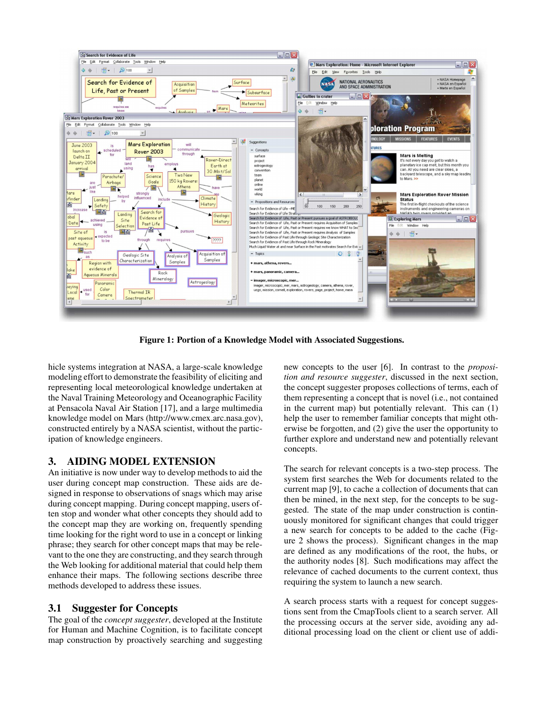

**Figure 1: Portion of a Knowledge Model with Associated Suggestions.**

hicle systems integration at NASA, a large-scale knowledge modeling effort to demonstrate the feasibility of eliciting and representing local meteorological knowledge undertaken at the Naval Training Meteorology and Oceanographic Facility at Pensacola Naval Air Station [17], and a large multimedia knowledge model on Mars (http://www.cmex.arc.nasa.gov), constructed entirely by a NASA scientist, without the participation of knowledge engineers.

#### **3. AIDING MODEL EXTENSION**

An initiative is now under way to develop methods to aid the user during concept map construction. These aids are designed in response to observations of snags which may arise during concept mapping. During concept mapping, users often stop and wonder what other concepts they should add to the concept map they are working on, frequently spending time looking for the right word to use in a concept or linking phrase; they search for other concept maps that may be relevant to the one they are constructing, and they search through the Web looking for additional material that could help them enhance their maps. The following sections describe three methods developed to address these issues.

# **3.1 Suggester for Concepts**

The goal of the *concept suggester*, developed at the Institute for Human and Machine Cognition, is to facilitate concept map construction by proactively searching and suggesting new concepts to the user [6]. In contrast to the *proposition and resource suggester*, discussed in the next section, the concept suggester proposes collections of terms, each of them representing a concept that is novel (i.e., not contained in the current map) but potentially relevant. This can (1) help the user to remember familiar concepts that might otherwise be forgotten, and (2) give the user the opportunity to further explore and understand new and potentially relevant concepts.

The search for relevant concepts is a two-step process. The system first searches the Web for documents related to the current map [9], to cache a collection of documents that can then be mined, in the next step, for the concepts to be suggested. The state of the map under construction is continuously monitored for significant changes that could trigger a new search for concepts to be added to the cache (Figure 2 shows the process). Significant changes in the map are defined as any modifications of the root, the hubs, or the authority nodes [8]. Such modifications may affect the relevance of cached documents to the current context, thus requiring the system to launch a new search.

A search process starts with a request for concept suggestions sent from the CmapTools client to a search server. All the processing occurs at the server side, avoiding any additional processing load on the client or client use of addi-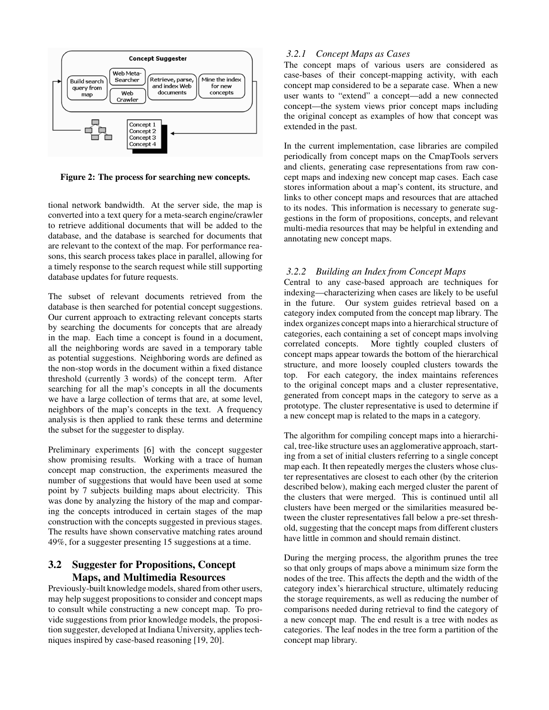

**Figure 2: The process for searching new concepts.**

tional network bandwidth. At the server side, the map is converted into a text query for a meta-search engine/crawler to retrieve additional documents that will be added to the database, and the database is searched for documents that are relevant to the context of the map. For performance reasons, this search process takes place in parallel, allowing for a timely response to the search request while still supporting database updates for future requests.

The subset of relevant documents retrieved from the database is then searched for potential concept suggestions. Our current approach to extracting relevant concepts starts by searching the documents for concepts that are already in the map. Each time a concept is found in a document, all the neighboring words are saved in a temporary table as potential suggestions. Neighboring words are defined as the non-stop words in the document within a fixed distance threshold (currently 3 words) of the concept term. After searching for all the map's concepts in all the documents we have a large collection of terms that are, at some level, neighbors of the map's concepts in the text. A frequency analysis is then applied to rank these terms and determine the subset for the suggester to display.

Preliminary experiments [6] with the concept suggester show promising results. Working with a trace of human concept map construction, the experiments measured the number of suggestions that would have been used at some point by 7 subjects building maps about electricity. This was done by analyzing the history of the map and comparing the concepts introduced in certain stages of the map construction with the concepts suggested in previous stages. The results have shown conservative matching rates around 49%, for a suggester presenting 15 suggestions at a time.

# **3.2 Suggester for Propositions, Concept Maps, and Multimedia Resources**

Previously-built knowledge models, shared from other users, may help suggest propositions to consider and concept maps to consult while constructing a new concept map. To provide suggestions from prior knowledge models, the proposition suggester, developed at Indiana University, applies techniques inspired by case-based reasoning [19, 20].

#### *3.2.1 Concept Maps as Cases*

The concept maps of various users are considered as case-bases of their concept-mapping activity, with each concept map considered to be a separate case. When a new user wants to "extend" a concept—add a new connected concept—the system views prior concept maps including the original concept as examples of how that concept was extended in the past.

In the current implementation, case libraries are compiled periodically from concept maps on the CmapTools servers and clients, generating case representations from raw concept maps and indexing new concept map cases. Each case stores information about a map's content, its structure, and links to other concept maps and resources that are attached to its nodes. This information is necessary to generate suggestions in the form of propositions, concepts, and relevant multi-media resources that may be helpful in extending and annotating new concept maps.

#### *3.2.2 Building an Index from Concept Maps*

Central to any case-based approach are techniques for indexing—characterizing when cases are likely to be useful in the future. Our system guides retrieval based on a category index computed from the concept map library. The index organizes concept maps into a hierarchical structure of categories, each containing a set of concept maps involving correlated concepts. More tightly coupled clusters of concept maps appear towards the bottom of the hierarchical structure, and more loosely coupled clusters towards the top. For each category, the index maintains references to the original concept maps and a cluster representative, generated from concept maps in the category to serve as a prototype. The cluster representative is used to determine if a new concept map is related to the maps in a category.

The algorithm for compiling concept maps into a hierarchical, tree-like structure uses an agglomerative approach, starting from a set of initial clusters referring to a single concept map each. It then repeatedly merges the clusters whose cluster representatives are closest to each other (by the criterion described below), making each merged cluster the parent of the clusters that were merged. This is continued until all clusters have been merged or the similarities measured between the cluster representatives fall below a pre-set threshold, suggesting that the concept maps from different clusters have little in common and should remain distinct.

During the merging process, the algorithm prunes the tree so that only groups of maps above a minimum size form the nodes of the tree. This affects the depth and the width of the category index's hierarchical structure, ultimately reducing the storage requirements, as well as reducing the number of comparisons needed during retrieval to find the category of a new concept map. The end result is a tree with nodes as categories. The leaf nodes in the tree form a partition of the concept map library.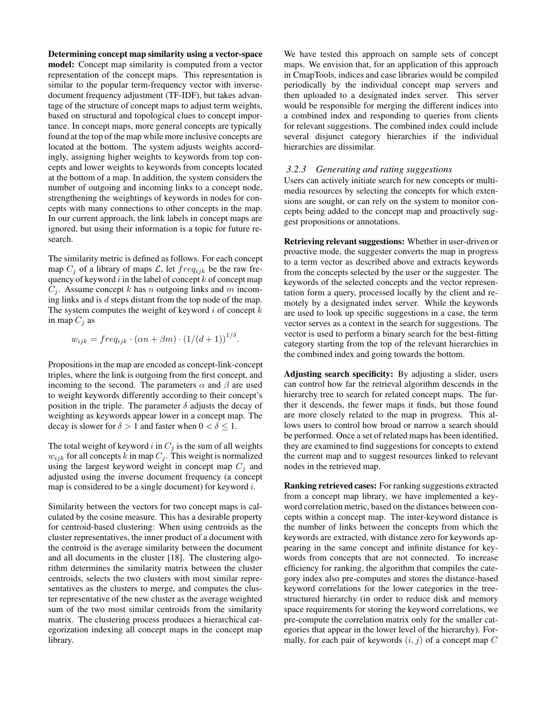**Determining concept map similarity using a vector-space model:** Concept map similarity is computed from a vector representation of the concept maps. This representation is similar to the popular term-frequency vector with inversedocument frequency adjustment (TF-IDF), but takes advantage of the structure of concept maps to adjust term weights, based on structural and topological clues to concept importance. In concept maps, more general concepts are typically found at the top of the map while more inclusive concepts are located at the bottom. The system adjusts weights accordingly, assigning higher weights to keywords from top concepts and lower weights to keywords from concepts located at the bottom of a map. In addition, the system considers the number of outgoing and incoming links to a concept node, strengthening the weightings of keywords in nodes for concepts with many connections to other concepts in the map. In our current approach, the link labels in concept maps are ignored, but using their information is a topic for future research.

The similarity metric is defined as follows. For each concept map  $C_i$  of a library of maps  $\mathcal{L}$ , let  $freq_{ijk}$  be the raw frequency of keyword  $i$  in the label of concept  $k$  of concept map  $C_i$ . Assume concept k has n outgoing links and m incoming links and is  $d$  steps distant from the top node of the map. The system computes the weight of keyword  $i$  of concept  $k$ in map  $C_j$  as

$$
w_{ijk} = freq_{ijk} \cdot (\alpha n + \beta m) \cdot (1/(d+1))^{1/\delta}.
$$

Propositions in the map are encoded as concept-link-concept triples, where the link is outgoing from the first concept, and incoming to the second. The parameters  $\alpha$  and  $\beta$  are used to weight keywords differently according to their concept's position in the triple. The parameter  $\delta$  adjusts the decay of weighting as keywords appear lower in a concept map. The decay is slower for  $\delta > 1$  and faster when  $0 < \delta < 1$ .

The total weight of keyword i in  $C_i$  is the sum of all weights  $w_{ijk}$  for all concepts k in map  $C_j$ . This weight is normalized using the largest keyword weight in concept map  $C_j$  and adjusted using the inverse document frequency (a concept map is considered to be a single document) for keyword  $i$ .

Similarity between the vectors for two concept maps is calculated by the cosine measure. This has a desirable property for centroid-based clustering: When using centroids as the cluster representatives, the inner product of a document with the centroid is the average similarity between the document and all documents in the cluster [18]. The clustering algorithm determines the similarity matrix between the cluster centroids, selects the two clusters with most similar representatives as the clusters to merge, and computes the cluster representative of the new cluster as the average weighted sum of the two most similar centroids from the similarity matrix. The clustering process produces a hierarchical categorization indexing all concept maps in the concept map library.

We have tested this approach on sample sets of concept maps. We envision that, for an application of this approach in CmapTools, indices and case libraries would be compiled periodically by the individual concept map servers and then uploaded to a designated index server. This server would be responsible for merging the different indices into a combined index and responding to queries from clients for relevant suggestions. The combined index could include several disjunct category hierarchies if the individual hierarchies are dissimilar.

#### *3.2.3 Generating and rating suggestions*

Users can actively initiate search for new concepts or multimedia resources by selecting the concepts for which extensions are sought, or can rely on the system to monitor concepts being added to the concept map and proactively suggest propositions or annotations.

**Retrieving relevant suggestions:** Whether in user-driven or proactive mode, the suggester converts the map in progress to a term vector as described above and extracts keywords from the concepts selected by the user or the suggester. The keywords of the selected concepts and the vector representation form a query, processed locally by the client and remotely by a designated index server. While the keywords are used to look up specific suggestions in a case, the term vector serves as a context in the search for suggestions. The vector is used to perform a binary search for the best-fitting category starting from the top of the relevant hierarchies in the combined index and going towards the bottom.

**Adjusting search specificity:** By adjusting a slider, users can control how far the retrieval algorithm descends in the hierarchy tree to search for related concept maps. The further it descends, the fewer maps it finds, but those found are more closely related to the map in progress. This allows users to control how broad or narrow a search should be performed. Once a set of related maps has been identified, they are examined to find suggestions for concepts to extend the current map and to suggest resources linked to relevant nodes in the retrieved map.

**Ranking retrieved cases:** For ranking suggestions extracted from a concept map library, we have implemented a keyword correlation metric, based on the distances between concepts within a concept map. The inter-keyword distance is the number of links between the concepts from which the keywords are extracted, with distance zero for keywords appearing in the same concept and infinite distance for keywords from concepts that are not connected. To increase efficiency for ranking, the algorithm that compiles the category index also pre-computes and stores the distance-based keyword correlations for the lower categories in the treestructured hierarchy (in order to reduce disk and memory space requirements for storing the keyword correlations, we pre-compute the correlation matrix only for the smaller categories that appear in the lower level of the hierarchy). Formally, for each pair of keywords  $(i, j)$  of a concept map C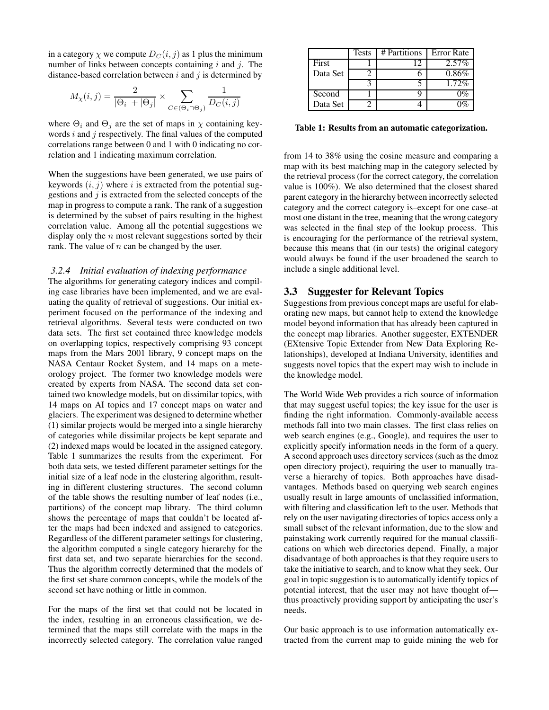in a category  $\chi$  we compute  $D_C(i, j)$  as 1 plus the minimum number of links between concepts containing  $i$  and  $j$ . The distance-based correlation between  $i$  and  $j$  is determined by

$$
M_{\chi}(i,j) = \frac{2}{|\Theta_i| + |\Theta_j|} \times \sum_{C \in (\Theta_i \cap \Theta_j)} \frac{1}{D_C(i,j)}
$$

where  $\Theta_i$  and  $\Theta_j$  are the set of maps in  $\chi$  containing keywords  $i$  and  $j$  respectively. The final values of the computed correlations range between 0 and 1 with 0 indicating no correlation and 1 indicating maximum correlation.

When the suggestions have been generated, we use pairs of keywords  $(i, j)$  where i is extracted from the potential suggestions and  $j$  is extracted from the selected concepts of the map in progress to compute a rank. The rank of a suggestion is determined by the subset of pairs resulting in the highest correlation value. Among all the potential suggestions we display only the  $n$  most relevant suggestions sorted by their rank. The value of  $n$  can be changed by the user.

#### *3.2.4 Initial evaluation of indexing performance*

The algorithms for generating category indices and compiling case libraries have been implemented, and we are evaluating the quality of retrieval of suggestions. Our initial experiment focused on the performance of the indexing and retrieval algorithms. Several tests were conducted on two data sets. The first set contained three knowledge models on overlapping topics, respectively comprising 93 concept maps from the Mars 2001 library, 9 concept maps on the NASA Centaur Rocket System, and 14 maps on a meteorology project. The former two knowledge models were created by experts from NASA. The second data set contained two knowledge models, but on dissimilar topics, with 14 maps on AI topics and 17 concept maps on water and glaciers. The experiment was designed to determine whether (1) similar projects would be merged into a single hierarchy of categories while dissimilar projects be kept separate and (2) indexed maps would be located in the assigned category. Table 1 summarizes the results from the experiment. For both data sets, we tested different parameter settings for the initial size of a leaf node in the clustering algorithm, resulting in different clustering structures. The second column of the table shows the resulting number of leaf nodes (i.e., partitions) of the concept map library. The third column shows the percentage of maps that couldn't be located after the maps had been indexed and assigned to categories. Regardless of the different parameter settings for clustering, the algorithm computed a single category hierarchy for the first data set, and two separate hierarchies for the second. Thus the algorithm correctly determined that the models of the first set share common concepts, while the models of the second set have nothing or little in common.

For the maps of the first set that could not be located in the index, resulting in an erroneous classification, we determined that the maps still correlate with the maps in the incorrectly selected category. The correlation value ranged

|          | <b>Tests</b> | # Partitions | <b>Error Rate</b> |
|----------|--------------|--------------|-------------------|
| First    |              |              | $2.57\%$          |
| Data Set |              |              | $0.86\%$          |
|          |              |              | 1.72%             |
| Second   |              |              | $\mathcal{V}'$    |
| Data Set |              |              |                   |

**Table 1: Results from an automatic categorization.**

from 14 to 38% using the cosine measure and comparing a map with its best matching map in the category selected by the retrieval process (for the correct category, the correlation value is 100%). We also determined that the closest shared parent category in the hierarchy between incorrectly selected category and the correct category is–except for one case–at most one distant in the tree, meaning that the wrong category was selected in the final step of the lookup process. This is encouraging for the performance of the retrieval system, because this means that (in our tests) the original category would always be found if the user broadened the search to include a single additional level.

#### **3.3 Suggester for Relevant Topics**

Suggestions from previous concept maps are useful for elaborating new maps, but cannot help to extend the knowledge model beyond information that has already been captured in the concept map libraries. Another suggester, EXTENDER (EXtensive Topic Extender from New Data Exploring Relationships), developed at Indiana University, identifies and suggests novel topics that the expert may wish to include in the knowledge model.

The World Wide Web provides a rich source of information that may suggest useful topics; the key issue for the user is finding the right information. Commonly-available access methods fall into two main classes. The first class relies on web search engines (e.g., Google), and requires the user to explicitly specify information needs in the form of a query. A second approach uses directory services (such as the dmoz open directory project), requiring the user to manually traverse a hierarchy of topics. Both approaches have disadvantages. Methods based on querying web search engines usually result in large amounts of unclassified information, with filtering and classification left to the user. Methods that rely on the user navigating directories of topics access only a small subset of the relevant information, due to the slow and painstaking work currently required for the manual classifications on which web directories depend. Finally, a major disadvantage of both approaches is that they require users to take the initiative to search, and to know what they seek. Our goal in topic suggestion is to automatically identify topics of potential interest, that the user may not have thought of thus proactively providing support by anticipating the user's needs.

Our basic approach is to use information automatically extracted from the current map to guide mining the web for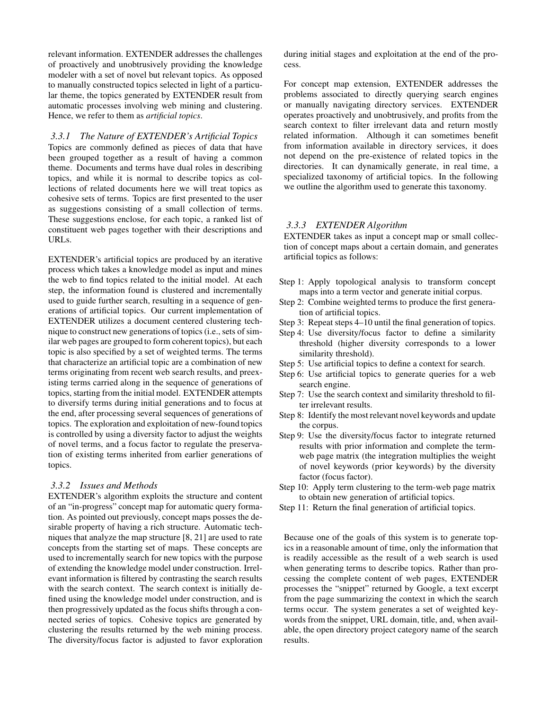relevant information. EXTENDER addresses the challenges of proactively and unobtrusively providing the knowledge modeler with a set of novel but relevant topics. As opposed to manually constructed topics selected in light of a particular theme, the topics generated by EXTENDER result from automatic processes involving web mining and clustering. Hence, we refer to them as *artificial topics*.

#### *3.3.1 The Nature of EXTENDER's Artificial Topics*

Topics are commonly defined as pieces of data that have been grouped together as a result of having a common theme. Documents and terms have dual roles in describing topics, and while it is normal to describe topics as collections of related documents here we will treat topics as cohesive sets of terms. Topics are first presented to the user as suggestions consisting of a small collection of terms. These suggestions enclose, for each topic, a ranked list of constituent web pages together with their descriptions and URLs.

EXTENDER's artificial topics are produced by an iterative process which takes a knowledge model as input and mines the web to find topics related to the initial model. At each step, the information found is clustered and incrementally used to guide further search, resulting in a sequence of generations of artificial topics. Our current implementation of EXTENDER utilizes a document centered clustering technique to construct new generations of topics (i.e., sets of similar web pages are grouped to form coherent topics), but each topic is also specified by a set of weighted terms. The terms that characterize an artificial topic are a combination of new terms originating from recent web search results, and preexisting terms carried along in the sequence of generations of topics, starting from the initial model. EXTENDER attempts to diversify terms during initial generations and to focus at the end, after processing several sequences of generations of topics. The exploration and exploitation of new-found topics is controlled by using a diversity factor to adjust the weights of novel terms, and a focus factor to regulate the preservation of existing terms inherited from earlier generations of topics.

#### *3.3.2 Issues and Methods*

EXTENDER's algorithm exploits the structure and content of an "in-progress" concept map for automatic query formation. As pointed out previously, concept maps posses the desirable property of having a rich structure. Automatic techniques that analyze the map structure [8, 21] are used to rate concepts from the starting set of maps. These concepts are used to incrementally search for new topics with the purpose of extending the knowledge model under construction. Irrelevant information is filtered by contrasting the search results with the search context. The search context is initially defined using the knowledge model under construction, and is then progressively updated as the focus shifts through a connected series of topics. Cohesive topics are generated by clustering the results returned by the web mining process. The diversity/focus factor is adjusted to favor exploration during initial stages and exploitation at the end of the process.

For concept map extension, EXTENDER addresses the problems associated to directly querying search engines or manually navigating directory services. EXTENDER operates proactively and unobtrusively, and profits from the search context to filter irrelevant data and return mostly related information. Although it can sometimes benefit from information available in directory services, it does not depend on the pre-existence of related topics in the directories. It can dynamically generate, in real time, a specialized taxonomy of artificial topics. In the following we outline the algorithm used to generate this taxonomy.

#### *3.3.3 EXTENDER Algorithm*

EXTENDER takes as input a concept map or small collection of concept maps about a certain domain, and generates artificial topics as follows:

- Step 1: Apply topological analysis to transform concept maps into a term vector and generate initial corpus.
- Step 2: Combine weighted terms to produce the first generation of artificial topics.
- Step 3: Repeat steps 4–10 until the final generation of topics.
- Step 4: Use diversity/focus factor to define a similarity threshold (higher diversity corresponds to a lower similarity threshold).
- Step 5: Use artificial topics to define a context for search.
- Step 6: Use artificial topics to generate queries for a web search engine.
- Step 7: Use the search context and similarity threshold to filter irrelevant results.
- Step 8: Identify the most relevant novel keywords and update the corpus.
- Step 9: Use the diversity/focus factor to integrate returned results with prior information and complete the termweb page matrix (the integration multiplies the weight of novel keywords (prior keywords) by the diversity factor (focus factor).
- Step 10: Apply term clustering to the term-web page matrix to obtain new generation of artificial topics.
- Step 11: Return the final generation of artificial topics.

Because one of the goals of this system is to generate topics in a reasonable amount of time, only the information that is readily accessible as the result of a web search is used when generating terms to describe topics. Rather than processing the complete content of web pages, EXTENDER processes the "snippet" returned by Google, a text excerpt from the page summarizing the context in which the search terms occur. The system generates a set of weighted keywords from the snippet, URL domain, title, and, when available, the open directory project category name of the search results.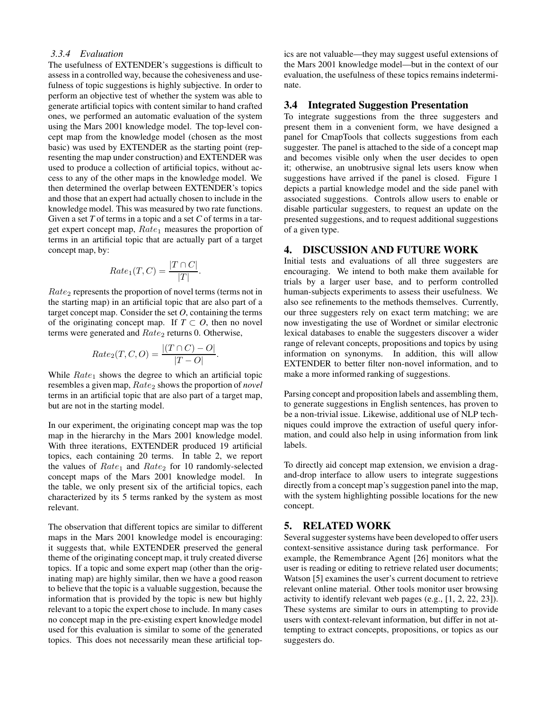## *3.3.4 Evaluation*

The usefulness of EXTENDER's suggestions is difficult to assess in a controlled way, because the cohesiveness and usefulness of topic suggestions is highly subjective. In order to perform an objective test of whether the system was able to generate artificial topics with content similar to hand crafted ones, we performed an automatic evaluation of the system using the Mars 2001 knowledge model. The top-level concept map from the knowledge model (chosen as the most basic) was used by EXTENDER as the starting point (representing the map under construction) and EXTENDER was used to produce a collection of artificial topics, without access to any of the other maps in the knowledge model. We then determined the overlap between EXTENDER's topics and those that an expert had actually chosen to include in the knowledge model. This was measured by two rate functions. Given a set *T* of terms in a topic and a set *C* of terms in a target expert concept map,  $Rate_1$  measures the proportion of terms in an artificial topic that are actually part of a target concept map, by:

$$
Rate_1(T, C) = \frac{|T \cap C|}{|T|}.
$$

 $Rate_2$  represents the proportion of novel terms (terms not in the starting map) in an artificial topic that are also part of a target concept map. Consider the set  $O$ , containing the terms of the originating concept map. If  $T \subset O$ , then no novel terms were generated and  $Rate_2$  returns 0. Otherwise,

$$
Rate_2(T, C, O) = \frac{|(T \cap C) - O|}{|T - O|}
$$

.

While  $Rate<sub>1</sub>$  shows the degree to which an artificial topic resembles a given map,  $Rate_2$  shows the proportion of *novel* terms in an artificial topic that are also part of a target map, but are not in the starting model.

In our experiment, the originating concept map was the top map in the hierarchy in the Mars 2001 knowledge model. With three iterations, EXTENDER produced 19 artificial topics, each containing 20 terms. In table 2, we report the values of  $Rate_1$  and  $Rate_2$  for 10 randomly-selected concept maps of the Mars 2001 knowledge model. In the table, we only present six of the artificial topics, each characterized by its 5 terms ranked by the system as most relevant.

The observation that different topics are similar to different maps in the Mars 2001 knowledge model is encouraging: it suggests that, while EXTENDER preserved the general theme of the originating concept map, it truly created diverse topics. If a topic and some expert map (other than the originating map) are highly similar, then we have a good reason to believe that the topic is a valuable suggestion, because the information that is provided by the topic is new but highly relevant to a topic the expert chose to include. In many cases no concept map in the pre-existing expert knowledge model used for this evaluation is similar to some of the generated topics. This does not necessarily mean these artificial topics are not valuable—they may suggest useful extensions of the Mars 2001 knowledge model—but in the context of our evaluation, the usefulness of these topics remains indeterminate.

## **3.4 Integrated Suggestion Presentation**

To integrate suggestions from the three suggesters and present them in a convenient form, we have designed a panel for CmapTools that collects suggestions from each suggester. The panel is attached to the side of a concept map and becomes visible only when the user decides to open it; otherwise, an unobtrusive signal lets users know when suggestions have arrived if the panel is closed. Figure 1 depicts a partial knowledge model and the side panel with associated suggestions. Controls allow users to enable or disable particular suggesters, to request an update on the presented suggestions, and to request additional suggestions of a given type.

## **4. DISCUSSION AND FUTURE WORK**

Initial tests and evaluations of all three suggesters are encouraging. We intend to both make them available for trials by a larger user base, and to perform controlled human-subjects experiments to assess their usefulness. We also see refinements to the methods themselves. Currently, our three suggesters rely on exact term matching; we are now investigating the use of Wordnet or similar electronic lexical databases to enable the suggesters discover a wider range of relevant concepts, propositions and topics by using information on synonyms. In addition, this will allow EXTENDER to better filter non-novel information, and to make a more informed ranking of suggestions.

Parsing concept and proposition labels and assembling them, to generate suggestions in English sentences, has proven to be a non-trivial issue. Likewise, additional use of NLP techniques could improve the extraction of useful query information, and could also help in using information from link labels.

To directly aid concept map extension, we envision a dragand-drop interface to allow users to integrate suggestions directly from a concept map's suggestion panel into the map, with the system highlighting possible locations for the new concept.

## **5. RELATED WORK**

Several suggester systems have been developed to offer users context-sensitive assistance during task performance. For example, the Remembrance Agent [26] monitors what the user is reading or editing to retrieve related user documents; Watson [5] examines the user's current document to retrieve relevant online material. Other tools monitor user browsing activity to identify relevant web pages (e.g., [1, 2, 22, 23]). These systems are similar to ours in attempting to provide users with context-relevant information, but differ in not attempting to extract concepts, propositions, or topics as our suggesters do.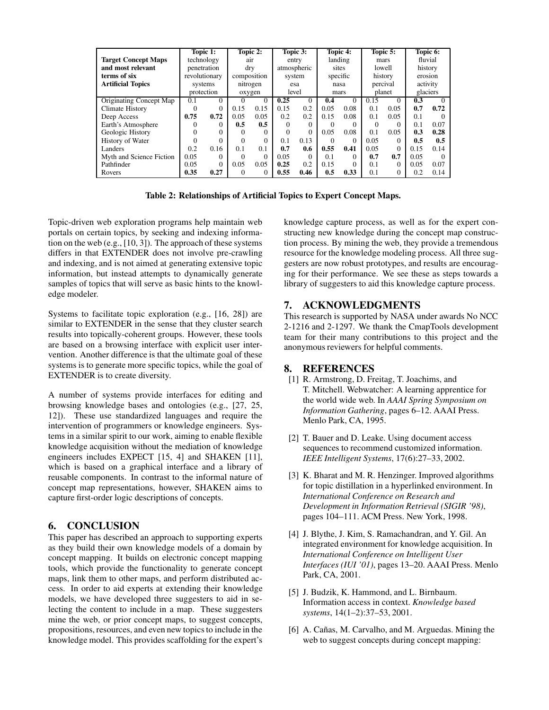|                            |                      | Topic 2:<br>Topic 1: |             | Topic 3: |             | <b>Topic 4:</b> |          | Topic 5: |          | Topic 6: |         |          |
|----------------------------|----------------------|----------------------|-------------|----------|-------------|-----------------|----------|----------|----------|----------|---------|----------|
| <b>Target Concept Maps</b> | technology           |                      | air         |          | entry       |                 | landing  |          | mars     |          | fluvial |          |
| and most relevant          | penetration          |                      | drv         |          | atmospheric |                 | sites    |          | lowell   |          | history |          |
| terms of six               | revolutionary        |                      | composition |          | system      |                 | specific |          | history  |          | erosion |          |
| <b>Artificial Topics</b>   | nitrogen<br>systems  |                      |             | esa      |             | nasa            |          | percival |          | activity |         |          |
|                            | protection<br>oxygen |                      | level       |          | mars        |                 | planet   |          | glaciers |          |         |          |
| Originating Concept Map    | 0.1                  | $\Omega$             | $\Omega$    | $\Omega$ | 0.25        | $\Omega$        | 0.4      | $\Omega$ | 0.15     | $\Omega$ | 0.3     | $\Omega$ |
| Climate History            | $\Omega$             | $\Omega$             | 0.15        | 0.15     | 0.15        | 0.2             | 0.05     | 0.08     | 0.1      | 0.05     | 0.7     | 0.72     |
| Deep Access                | 0.75                 | 0.72                 | 0.05        | 0.05     | 0.2         | 0.2             | 0.15     | 0.08     | 0.1      | 0.05     | 0.1     |          |
| Earth's Atmosphere         | 0                    | $\Omega$             | 0.5         | 0.5      | $\Omega$    | $\Omega$        | $\Omega$ | $\Omega$ | $\Omega$ | $\Omega$ | 0.1     | 0.07     |
| Geologic History           |                      | $\Omega$             |             | $\Omega$ | $\Omega$    | $\Omega$        | 0.05     | 0.08     | 0.1      | 0.05     | 0.3     | 0.28     |
| History of Water           |                      | $\Omega$             | $\Omega$    | $\Omega$ | 0.1         | 0.13            | $\Omega$ | $\Omega$ | 0.05     | 0        | 0.5     | 0.5      |
| Landers                    | 0.2                  | 0.16                 | 0.1         | 0.1      | 0.7         | 0.6             | 0.55     | 0.41     | 0.05     | $\Omega$ | 0.15    | 0.14     |
| Myth and Science Fiction   | 0.05                 | $\Omega$             | $\Omega$    | $\Omega$ | 0.05        | $\Omega$        | 0.1      | $\Omega$ | 0.7      | 0.7      | 0.05    | $\Omega$ |
| Pathfinder                 | 0.05                 | $\Omega$             | 0.05        | 0.05     | 0.25        | 0.2             | 0.15     | $\Omega$ | 0.1      | 0        | 0.05    | 0.07     |
| Rovers                     | 0.35                 | 0.27                 | $\Omega$    | 0        | 0.55        | 0.46            | 0.5      | 0.33     | 0.1      | 0        | 0.2     | 0.14     |

Topic-driven web exploration programs help maintain web portals on certain topics, by seeking and indexing information on the web (e.g., [10, 3]). The approach of these systems differs in that EXTENDER does not involve pre-crawling and indexing, and is not aimed at generating extensive topic information, but instead attempts to dynamically generate samples of topics that will serve as basic hints to the knowledge modeler.

Systems to facilitate topic exploration (e.g., [16, 28]) are similar to EXTENDER in the sense that they cluster search results into topically-coherent groups. However, these tools are based on a browsing interface with explicit user intervention. Another difference is that the ultimate goal of these systems is to generate more specific topics, while the goal of EXTENDER is to create diversity.

A number of systems provide interfaces for editing and browsing knowledge bases and ontologies (e.g., [27, 25, 12]). These use standardized languages and require the intervention of programmers or knowledge engineers. Systems in a similar spirit to our work, aiming to enable flexible knowledge acquisition without the mediation of knowledge engineers includes EXPECT [15, 4] and SHAKEN [11], which is based on a graphical interface and a library of reusable components. In contrast to the informal nature of concept map representations, however, SHAKEN aims to capture first-order logic descriptions of concepts.

# **6. CONCLUSION**

This paper has described an approach to supporting experts as they build their own knowledge models of a domain by concept mapping. It builds on electronic concept mapping tools, which provide the functionality to generate concept maps, link them to other maps, and perform distributed access. In order to aid experts at extending their knowledge models, we have developed three suggesters to aid in selecting the content to include in a map. These suggesters mine the web, or prior concept maps, to suggest concepts, propositions, resources, and even new topicsto include in the knowledge model. This provides scaffolding for the expert's knowledge capture process, as well as for the expert constructing new knowledge during the concept map construction process. By mining the web, they provide a tremendous resource for the knowledge modeling process. All three suggesters are now robust prototypes, and results are encouraging for their performance. We see these as steps towards a library of suggesters to aid this knowledge capture process.

# **7. ACKNOWLEDGMENTS**

This research is supported by NASA under awards No NCC 2-1216 and 2-1297. We thank the CmapTools development team for their many contributions to this project and the anonymous reviewers for helpful comments.

## **8. REFERENCES**

- [1] R. Armstrong, D. Freitag, T. Joachims, and T. Mitchell. Webwatcher: A learning apprentice for the world wide web. In *AAAI Spring Symposium on Information Gathering*, pages 6–12. AAAI Press. Menlo Park, CA, 1995.
- [2] T. Bauer and D. Leake. Using document access sequences to recommend customized information. *IEEE Intelligent Systems*, 17(6):27–33, 2002.
- [3] K. Bharat and M. R. Henzinger. Improved algorithms for topic distillation in a hyperlinked environment. In *International Conference on Research and Development in Information Retrieval (SIGIR '98)*, pages 104–111. ACM Press. New York, 1998.
- [4] J. Blythe, J. Kim, S. Ramachandran, and Y. Gil. An integrated environment for knowledge acquisition. In *International Conference on Intelligent User Interfaces (IUI '01)*, pages 13–20. AAAI Press. Menlo Park, CA, 2001.
- [5] J. Budzik, K. Hammond, and L. Birnbaum. Information access in context. *Knowledge based systems*, 14(1–2):37–53, 2001.
- [6] A. Cañas, M. Carvalho, and M. Arguedas. Mining the web to suggest concepts during concept mapping: